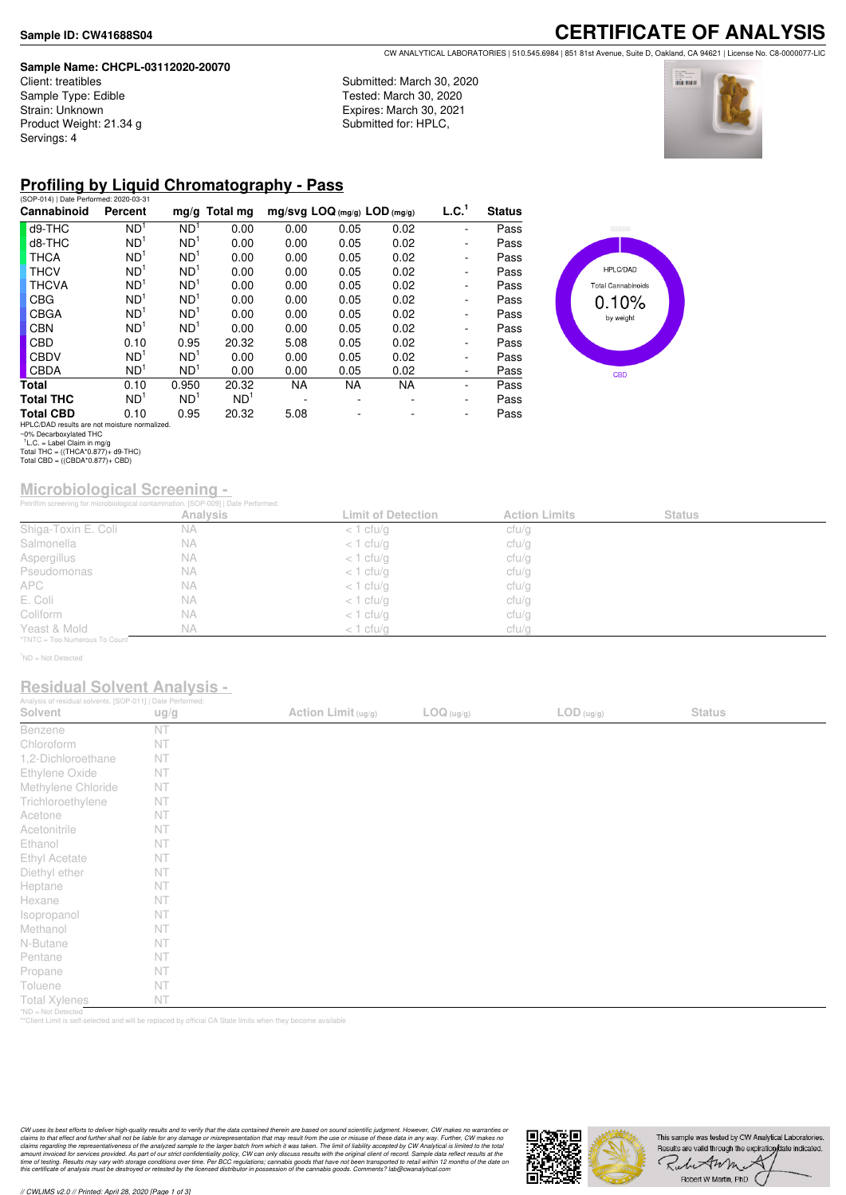#### **Sample Name: CHCPL-03112020-20070**

Client: treatibles Sample Type: Edible Strain: Unknown Product Weight: 21.34 g Servings: 4

### **CERTIFICATE OF ANALYSIS** CW ANALYTICAL LABORATORIES | 510.545.6984 | 851 81st Avenue, Suite D, Oakland, CA 94621 | License No. C8-0000077-LIC

Submitted: March 30, 2020 Tested: March 30, 2020 Expires: March 30, 2021 Submitted for: HPLC,



## **Profiling by Liquid Chromatography - Pass**

| (SOP-014)   Date Performed: 2020-03-31        |                 |                 |                 |      |                                |           |                              |               |
|-----------------------------------------------|-----------------|-----------------|-----------------|------|--------------------------------|-----------|------------------------------|---------------|
| Cannabinoid                                   | Percent         |                 | $mg/g$ Total mg |      | $mg/svg$ LOQ (mg/g) LOD (mg/g) |           | L.C. <sup>1</sup>            | <b>Status</b> |
| d9-THC                                        | ND <sup>1</sup> | ND <sup>1</sup> | 0.00            | 0.00 | 0.05                           | 0.02      | ۰                            | Pass          |
| d8-THC                                        | ND <sup>1</sup> | ND <sup>1</sup> | 0.00            | 0.00 | 0.05                           | 0.02      | ٠                            | Pass          |
| <b>THCA</b>                                   | ND <sup>1</sup> | ND <sup>1</sup> | 0.00            | 0.00 | 0.05                           | 0.02      | ۰                            | Pass          |
| <b>THCV</b>                                   | ND <sup>1</sup> | ND <sup>1</sup> | 0.00            | 0.00 | 0.05                           | 0.02      | $\qquad \qquad \blacksquare$ | Pass          |
| <b>THCVA</b>                                  | ND <sup>1</sup> | ND <sup>1</sup> | 0.00            | 0.00 | 0.05                           | 0.02      | ۰                            | Pass          |
| <b>CBG</b>                                    | ND <sup>1</sup> | ND <sup>1</sup> | 0.00            | 0.00 | 0.05                           | 0.02      | ۰                            | Pass          |
| <b>CBGA</b>                                   | ND <sup>1</sup> | ND <sup>1</sup> | 0.00            | 0.00 | 0.05                           | 0.02      | $\qquad \qquad \blacksquare$ | Pass          |
| <b>CBN</b>                                    | ND <sup>1</sup> | ND <sup>1</sup> | 0.00            | 0.00 | 0.05                           | 0.02      | $\overline{\phantom{0}}$     | Pass          |
| <b>CBD</b>                                    | 0.10            | 0.95            | 20.32           | 5.08 | 0.05                           | 0.02      | ۰                            | Pass          |
| <b>CBDV</b>                                   | ND <sup>1</sup> | ND <sup>1</sup> | 0.00            | 0.00 | 0.05                           | 0.02      | $\qquad \qquad \blacksquare$ | Pass          |
| <b>CBDA</b>                                   | ND <sup>1</sup> | ND <sup>1</sup> | 0.00            | 0.00 | 0.05                           | 0.02      | $\qquad \qquad \blacksquare$ | Pass          |
| Total                                         | 0.10            | 0.950           | 20.32           | NA.  | NA.                            | <b>NA</b> | $\overline{\phantom{0}}$     | Pass          |
| <b>Total THC</b>                              | ND <sup>1</sup> | ND <sup>1</sup> | ND <sup>1</sup> |      |                                |           | ۰                            | Pass          |
| <b>Total CBD</b>                              | 0.10            | 0.95            | 20.32           | 5.08 |                                |           | ٠                            | Pass          |
| HPLC/DAD results are not moisture normalized. |                 |                 |                 |      |                                |           |                              |               |



HPLC/DAD results are not moisture normalized. ~0% Decarboxylated THC 1 L.C. = Label Claim in mg/g Total THC = ((THCA\*0.877)+ d9-THC) Total CBD = ((CBDA\*0.877)+ CBD)

# **Microbiological Screening -**

|                               | Petriflim screening for microbiological contamination. [SOP-009]   Date Performed: |                           |                      |               |  |
|-------------------------------|------------------------------------------------------------------------------------|---------------------------|----------------------|---------------|--|
|                               | <b>Analysis</b>                                                                    | <b>Limit of Detection</b> | <b>Action Limits</b> | <b>Status</b> |  |
| Shiga-Toxin E. Coli           | <b>NA</b>                                                                          | $<$ 1 cfu/g               | cfu/g                |               |  |
| Salmonella                    | NА                                                                                 | $<$ 1 cfu/g               | cfu/g                |               |  |
| Aspergillus                   | ΝA                                                                                 | $<$ 1 cfu/g               | cfu/g                |               |  |
| Pseudomonas                   | <b>NA</b>                                                                          | $<$ 1 cfu/g               | cfu/g                |               |  |
| APC.                          | NА                                                                                 | $<$ 1 cfu/g               | cfu/g                |               |  |
| E. Coli                       | ΝA                                                                                 | $<$ 1 cfu/g               | cfu/g                |               |  |
| Coliform                      | NA                                                                                 | $<$ 1 cfu/g               | ctu/g                |               |  |
| Yeast & Mold                  | <b>NA</b>                                                                          | $<$ 1 cfu/g               | cfu/g                |               |  |
| *TNTC = Too Numerous To Count |                                                                                    |                           |                      |               |  |

<sup>1</sup>ND = Not Detected

### **Residual Solvent Analysis -**

| Analysis of residual solvents. [SOP-011]   Date Performed: |      |                     |            |                                                                    |               |  |
|------------------------------------------------------------|------|---------------------|------------|--------------------------------------------------------------------|---------------|--|
| Solvent                                                    | ug/g | Action Limit (ug/g) | LOG (ug/g) | $\mathsf{LOD}\left(\frac{\mathsf{u}\mathsf{g}}{\mathsf{g}}\right)$ | <b>Status</b> |  |
| Benzene                                                    | NT   |                     |            |                                                                    |               |  |
| Chloroform                                                 | NT   |                     |            |                                                                    |               |  |
| 1,2-Dichloroethane                                         | NT   |                     |            |                                                                    |               |  |
| Ethylene Oxide                                             | NT   |                     |            |                                                                    |               |  |
| Methylene Chloride                                         | NT   |                     |            |                                                                    |               |  |
| Trichloroethylene                                          | NT   |                     |            |                                                                    |               |  |
| Acetone                                                    | NT   |                     |            |                                                                    |               |  |
| Acetonitrile                                               | NT   |                     |            |                                                                    |               |  |
| Ethanol                                                    | NT   |                     |            |                                                                    |               |  |
| Ethyl Acetate                                              | NT   |                     |            |                                                                    |               |  |
| Diethyl ether                                              | NT   |                     |            |                                                                    |               |  |
| Heptane                                                    | NT   |                     |            |                                                                    |               |  |
| Hexane                                                     | NT   |                     |            |                                                                    |               |  |
| Isopropanol                                                | NT   |                     |            |                                                                    |               |  |
| Methanol                                                   | NT   |                     |            |                                                                    |               |  |
| N-Butane                                                   | NT   |                     |            |                                                                    |               |  |
| Pentane                                                    | NT   |                     |            |                                                                    |               |  |
| Propane                                                    | NT   |                     |            |                                                                    |               |  |
| Toluene                                                    | NT   |                     |            |                                                                    |               |  |
| <b>Total Xylenes</b>                                       | NT   |                     |            |                                                                    |               |  |
| *ND = Not Detected                                         |      |                     |            |                                                                    |               |  |

\*ND = Not Detected \*\*Client Limit is self-selected and will be replaced by official CA State limits when they become available

CW uses its best efforts to deliver high-quality results and to verify that the data contained therein are based on sound scientific judgment. However, CW makes no warranties or<br>claims to that effect and turther shall not



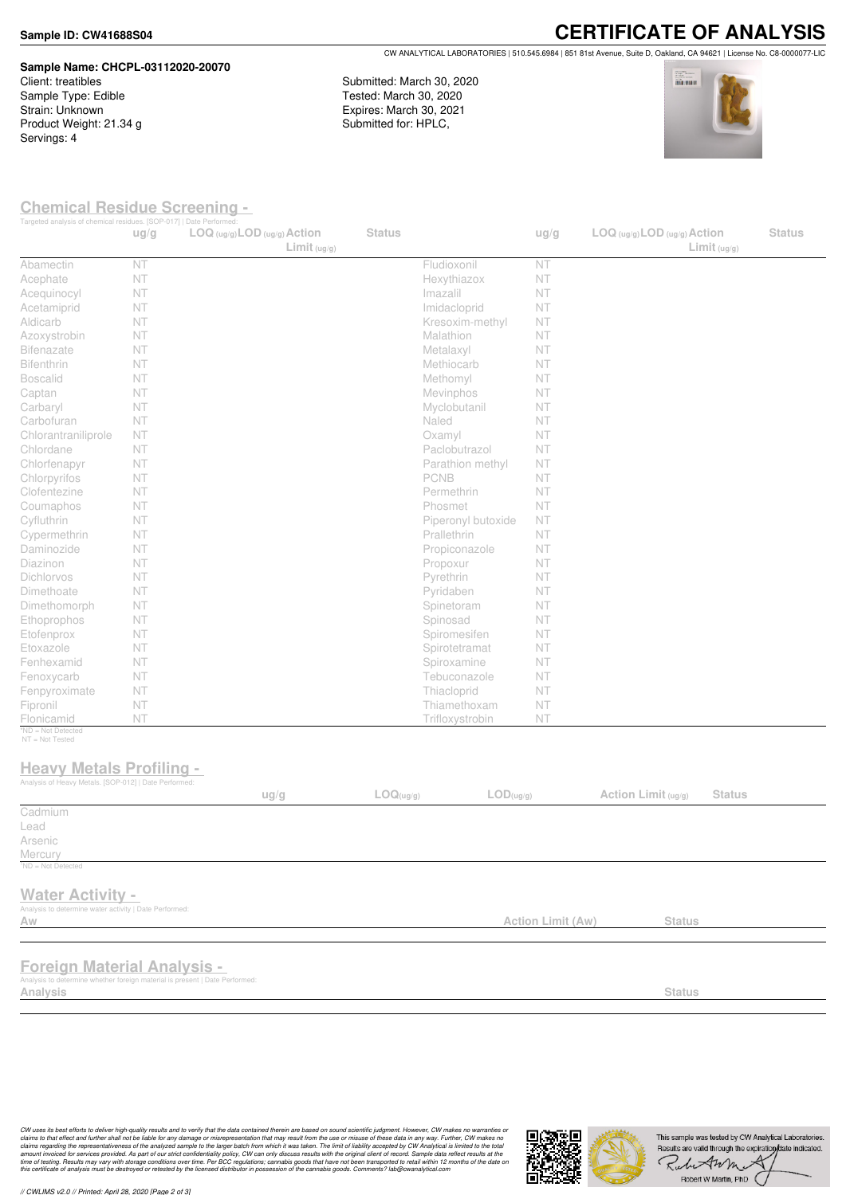#### **Sample ID: CW41688S04**

## **Sample Name: CHCPL-03112020-20070** Client: treatibles

Sample Type: Edible Strain: Unknown Product Weight: 21.34 g Servings: 4

**CERTIFICATE OF ANALYSIS** CW ANALYTICAL LABORATORIES | 510.545.6984 | 851 81st Avenue, Suite D, Oakland, CA 94621 | License No. C8-0000077-LIC

Submitted: March 30, 2020 Tested: March 30, 2020 Expires: March 30, 2021 Submitted for: HPLC,



### **Chemical Residue Screening -**

| Targeted analysis of chemical residues. [SOP-017]   Date Performed:                                                           | ug/g | $LOG (ug/g)$ <i>LOD</i> $(ug/g)$ <i>Action</i> | Limit <sub>(ug/g)</sub> | <b>Status</b> |                               | ug/g              |                     | $LOG (ug/g)$ LOD $(ug/g)$ Action<br>Limit <sub>(ug/g)</sub> | <b>Status</b> |
|-------------------------------------------------------------------------------------------------------------------------------|------|------------------------------------------------|-------------------------|---------------|-------------------------------|-------------------|---------------------|-------------------------------------------------------------|---------------|
| Abamectin                                                                                                                     | NT   |                                                |                         |               | Fludioxonil                   | NT                |                     |                                                             |               |
| Acephate                                                                                                                      | NT   |                                                |                         |               | Hexythiazox                   | NT                |                     |                                                             |               |
| Acequinocyl                                                                                                                   | NT   |                                                |                         |               | Imazalil                      | NT                |                     |                                                             |               |
| Acetamiprid                                                                                                                   | NT   |                                                |                         |               | Imidacloprid                  | NT                |                     |                                                             |               |
| Aldicarb                                                                                                                      | NT   |                                                |                         |               | Kresoxim-methyl               | <b>NT</b>         |                     |                                                             |               |
| Azoxystrobin                                                                                                                  | NT   |                                                |                         |               | Malathion                     | NT                |                     |                                                             |               |
| <b>Bifenazate</b>                                                                                                             | NT   |                                                |                         |               | Metalaxyl                     | NT                |                     |                                                             |               |
| Bifenthrin                                                                                                                    | NT   |                                                |                         |               | Methiocarb                    | <b>NT</b>         |                     |                                                             |               |
| <b>Boscalid</b>                                                                                                               | NT   |                                                |                         |               | Methomyl                      | NT                |                     |                                                             |               |
| Captan                                                                                                                        | NT   |                                                |                         |               | Mevinphos                     | NT                |                     |                                                             |               |
| Carbaryl                                                                                                                      | NT   |                                                |                         |               | Myclobutanil                  | NT                |                     |                                                             |               |
| Carbofuran                                                                                                                    | NT   |                                                |                         |               | Naled                         | NT                |                     |                                                             |               |
| Chlorantraniliprole                                                                                                           | NT   |                                                |                         |               | Oxamyl                        | NT                |                     |                                                             |               |
| Chlordane                                                                                                                     | NT   |                                                |                         |               | Paclobutrazol                 | <b>NT</b>         |                     |                                                             |               |
| Chlorfenapyr                                                                                                                  | NT   |                                                |                         |               | Parathion methyl              | <b>NT</b>         |                     |                                                             |               |
| Chlorpyrifos                                                                                                                  | NT   |                                                |                         |               | PCNB                          | NT                |                     |                                                             |               |
| Clofentezine                                                                                                                  | NT   |                                                |                         |               | Permethrin                    | <b>NT</b>         |                     |                                                             |               |
| Coumaphos                                                                                                                     | NT   |                                                |                         |               | Phosmet                       | NT                |                     |                                                             |               |
| Cyfluthrin                                                                                                                    | NT   |                                                |                         |               | Piperonyl butoxide            | NT                |                     |                                                             |               |
| Cypermethrin                                                                                                                  | NT   |                                                |                         |               | Prallethrin                   | <b>NT</b>         |                     |                                                             |               |
| Daminozide                                                                                                                    | NT   |                                                |                         |               | Propiconazole                 | <b>NT</b>         |                     |                                                             |               |
| Diazinon                                                                                                                      | NT   |                                                |                         |               | Propoxur                      | <b>NT</b>         |                     |                                                             |               |
| Dichlorvos                                                                                                                    | NT   |                                                |                         |               | Pyrethrin                     | NT                |                     |                                                             |               |
| Dimethoate                                                                                                                    | NT   |                                                |                         |               | Pyridaben                     | <b>NT</b>         |                     |                                                             |               |
| Dimethomorph                                                                                                                  | NT   |                                                |                         |               | Spinetoram                    | NT                |                     |                                                             |               |
| Ethoprophos                                                                                                                   | NT   |                                                |                         |               | Spinosad                      | <b>NT</b>         |                     |                                                             |               |
| Etofenprox                                                                                                                    | NT   |                                                |                         |               | Spiromesifen                  | NT                |                     |                                                             |               |
| Etoxazole                                                                                                                     | NT   |                                                |                         |               | Spirotetramat                 | NT                |                     |                                                             |               |
| Fenhexamid                                                                                                                    | NT   |                                                |                         |               | Spiroxamine                   | NT                |                     |                                                             |               |
|                                                                                                                               | NT   |                                                |                         |               | Tebuconazole                  | NT                |                     |                                                             |               |
| Fenoxycarb                                                                                                                    | NT   |                                                |                         |               |                               |                   |                     |                                                             |               |
| Fenpyroximate                                                                                                                 | NT   |                                                |                         |               | Thiacloprid<br>Thiamethoxam   | <b>NT</b>         |                     |                                                             |               |
| Fipronil                                                                                                                      |      |                                                |                         |               |                               | NT                |                     |                                                             |               |
| Flonicamid<br>*ND = Not Detected                                                                                              | NT   |                                                |                         |               | Trifloxystrobin               | NT                |                     |                                                             |               |
| NT = Not Tested<br><b>Heavy Metals Profiling -</b><br>Analysis of Heavy Metals. [SOP-012]   Date Performed:                   |      | ug/g                                           |                         | LOG(ug/g)     | $\mathsf{LOD}(\mathsf{ug/g})$ |                   | Action Limit (ug/g) | <b>Status</b>                                               |               |
| Cadmium                                                                                                                       |      |                                                |                         |               |                               |                   |                     |                                                             |               |
| Lead                                                                                                                          |      |                                                |                         |               |                               |                   |                     |                                                             |               |
| Arsenic                                                                                                                       |      |                                                |                         |               |                               |                   |                     |                                                             |               |
| Mercury                                                                                                                       |      |                                                |                         |               |                               |                   |                     |                                                             |               |
| $^1$ ND = Not Detected                                                                                                        |      |                                                |                         |               |                               |                   |                     |                                                             |               |
| <b>Water Activity -</b><br>Analysis to determine water activity   Date Performed:<br>Aw                                       |      |                                                |                         |               |                               | Action Limit (Aw) |                     | <b>Status</b>                                               |               |
|                                                                                                                               |      |                                                |                         |               |                               |                   |                     |                                                             |               |
| <b>Foreign Material Analysis -</b><br>Analysis to determine whether foreign material is present   Date Performed:<br>Analysis |      |                                                |                         |               |                               |                   |                     | <b>Status</b>                                               |               |
|                                                                                                                               |      |                                                |                         |               |                               |                   |                     |                                                             |               |

*// CWLIMS v2.0 // Printed: April 28, 2020 [Page 2 of 3]*